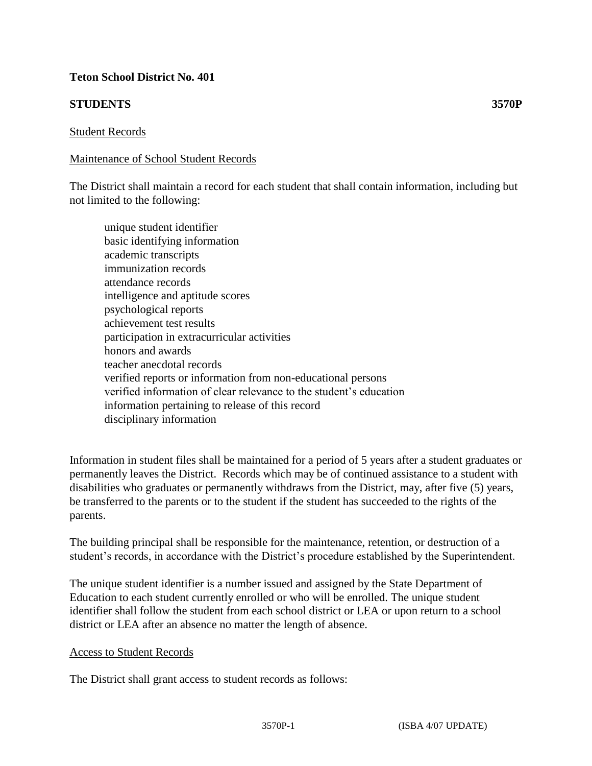# **Teton School District No. 401**

# **STUDENTS 3570P**

### Student Records

### Maintenance of School Student Records

The District shall maintain a record for each student that shall contain information, including but not limited to the following:

 unique student identifier basic identifying information academic transcripts immunization records attendance records intelligence and aptitude scores psychological reports achievement test results participation in extracurricular activities honors and awards teacher anecdotal records verified reports or information from non-educational persons verified information of clear relevance to the student's education information pertaining to release of this record disciplinary information

Information in student files shall be maintained for a period of 5 years after a student graduates or permanently leaves the District. Records which may be of continued assistance to a student with disabilities who graduates or permanently withdraws from the District, may, after five (5) years, be transferred to the parents or to the student if the student has succeeded to the rights of the parents.

The building principal shall be responsible for the maintenance, retention, or destruction of a student's records, in accordance with the District's procedure established by the Superintendent.

The unique student identifier is a number issued and assigned by the State Department of Education to each student currently enrolled or who will be enrolled. The unique student identifier shall follow the student from each school district or LEA or upon return to a school district or LEA after an absence no matter the length of absence.

#### Access to Student Records

The District shall grant access to student records as follows: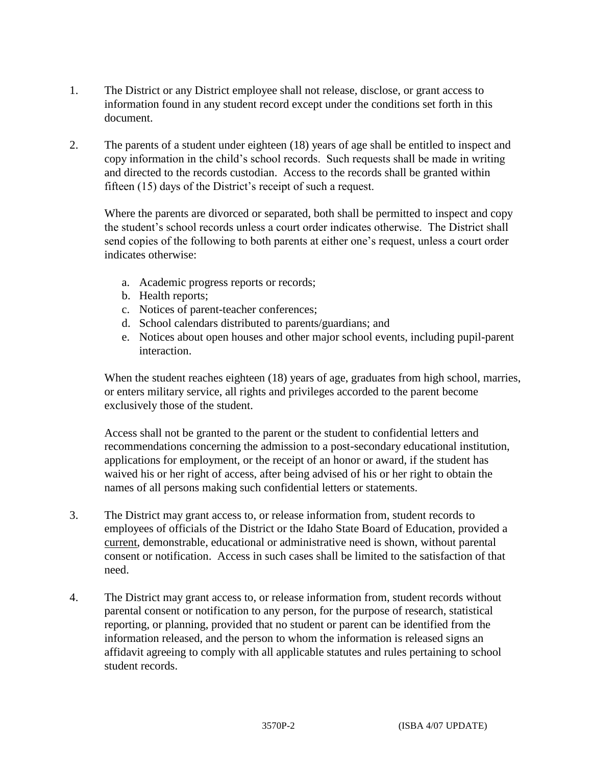- 1. The District or any District employee shall not release, disclose, or grant access to information found in any student record except under the conditions set forth in this document.
- 2. The parents of a student under eighteen (18) years of age shall be entitled to inspect and copy information in the child's school records. Such requests shall be made in writing and directed to the records custodian. Access to the records shall be granted within fifteen (15) days of the District's receipt of such a request.

Where the parents are divorced or separated, both shall be permitted to inspect and copy the student's school records unless a court order indicates otherwise. The District shall send copies of the following to both parents at either one's request, unless a court order indicates otherwise:

- a. Academic progress reports or records;
- b. Health reports;
- c. Notices of parent-teacher conferences;
- d. School calendars distributed to parents/guardians; and
- e. Notices about open houses and other major school events, including pupil-parent interaction.

When the student reaches eighteen (18) years of age, graduates from high school, marries, or enters military service, all rights and privileges accorded to the parent become exclusively those of the student.

Access shall not be granted to the parent or the student to confidential letters and recommendations concerning the admission to a post-secondary educational institution, applications for employment, or the receipt of an honor or award, if the student has waived his or her right of access, after being advised of his or her right to obtain the names of all persons making such confidential letters or statements.

- 3. The District may grant access to, or release information from, student records to employees of officials of the District or the Idaho State Board of Education, provided a current, demonstrable, educational or administrative need is shown, without parental consent or notification. Access in such cases shall be limited to the satisfaction of that need.
- 4. The District may grant access to, or release information from, student records without parental consent or notification to any person, for the purpose of research, statistical reporting, or planning, provided that no student or parent can be identified from the information released, and the person to whom the information is released signs an affidavit agreeing to comply with all applicable statutes and rules pertaining to school student records.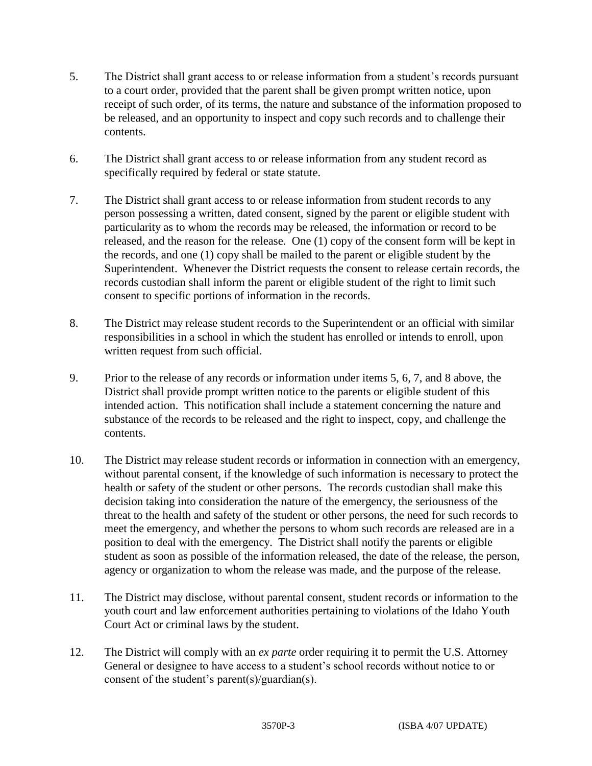- 5. The District shall grant access to or release information from a student's records pursuant to a court order, provided that the parent shall be given prompt written notice, upon receipt of such order, of its terms, the nature and substance of the information proposed to be released, and an opportunity to inspect and copy such records and to challenge their contents.
- 6. The District shall grant access to or release information from any student record as specifically required by federal or state statute.
- 7. The District shall grant access to or release information from student records to any person possessing a written, dated consent, signed by the parent or eligible student with particularity as to whom the records may be released, the information or record to be released, and the reason for the release. One (1) copy of the consent form will be kept in the records, and one (1) copy shall be mailed to the parent or eligible student by the Superintendent. Whenever the District requests the consent to release certain records, the records custodian shall inform the parent or eligible student of the right to limit such consent to specific portions of information in the records.
- 8. The District may release student records to the Superintendent or an official with similar responsibilities in a school in which the student has enrolled or intends to enroll, upon written request from such official.
- 9. Prior to the release of any records or information under items 5, 6, 7, and 8 above, the District shall provide prompt written notice to the parents or eligible student of this intended action. This notification shall include a statement concerning the nature and substance of the records to be released and the right to inspect, copy, and challenge the contents.
- 10. The District may release student records or information in connection with an emergency, without parental consent, if the knowledge of such information is necessary to protect the health or safety of the student or other persons. The records custodian shall make this decision taking into consideration the nature of the emergency, the seriousness of the threat to the health and safety of the student or other persons, the need for such records to meet the emergency, and whether the persons to whom such records are released are in a position to deal with the emergency. The District shall notify the parents or eligible student as soon as possible of the information released, the date of the release, the person, agency or organization to whom the release was made, and the purpose of the release.
- 11. The District may disclose, without parental consent, student records or information to the youth court and law enforcement authorities pertaining to violations of the Idaho Youth Court Act or criminal laws by the student.
- 12. The District will comply with an *ex parte* order requiring it to permit the U.S. Attorney General or designee to have access to a student's school records without notice to or consent of the student's parent(s)/guardian(s).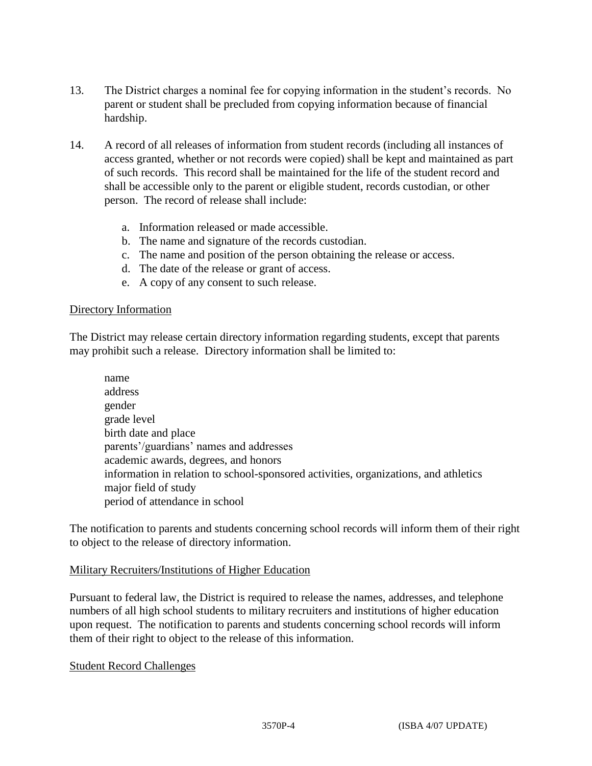- 13. The District charges a nominal fee for copying information in the student's records. No parent or student shall be precluded from copying information because of financial hardship.
- 14. A record of all releases of information from student records (including all instances of access granted, whether or not records were copied) shall be kept and maintained as part of such records. This record shall be maintained for the life of the student record and shall be accessible only to the parent or eligible student, records custodian, or other person. The record of release shall include:
	- a. Information released or made accessible.
	- b. The name and signature of the records custodian.
	- c. The name and position of the person obtaining the release or access.
	- d. The date of the release or grant of access.
	- e. A copy of any consent to such release.

# Directory Information

The District may release certain directory information regarding students, except that parents may prohibit such a release. Directory information shall be limited to:

name address gender grade level birth date and place parents'/guardians' names and addresses academic awards, degrees, and honors information in relation to school-sponsored activities, organizations, and athletics major field of study period of attendance in school

The notification to parents and students concerning school records will inform them of their right to object to the release of directory information.

# Military Recruiters/Institutions of Higher Education

Pursuant to federal law, the District is required to release the names, addresses, and telephone numbers of all high school students to military recruiters and institutions of higher education upon request. The notification to parents and students concerning school records will inform them of their right to object to the release of this information.

# Student Record Challenges